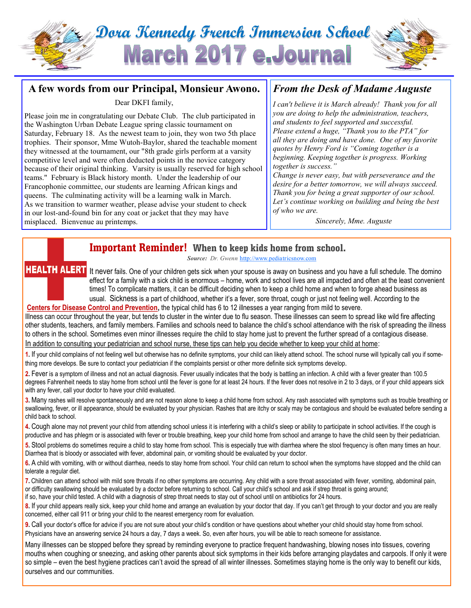# **Dora Kennedy French Immersion School March 2017 e.Journa**

## **A few words from our Principal, Monsieur Awono.**

Dear DKFI family,

Please join me in congratulating our Debate Club. The club participated in the Washington Urban Debate League spring classic tournament on Saturday, February 18. As the newest team to join, they won two 5th place trophies. Their sponsor, Mme Wutoh-Baylor, shared the teachable moment they witnessed at the tournament, our "8th grade girls perform at a varsity competitive level and were often deducted points in the novice category because of their original thinking. Varsity is usually reserved for high school teams." February is Black history month. Under the leadership of our Francophonie committee, our students are learning African kings and queens. The culminating activity will be a learning walk in March. As we transition to warmer weather, please advise your student to check in our lost-and-found bin for any coat or jacket that they may have misplaced. Bienvenue au printemps.

# *From the Desk of Madame Auguste*

*I can't believe it is March already! Thank you for all you are doing to help the administration, teachers, and students to feel supported and successful. Please extend a huge, "Thank you to the PTA" for all they are doing and have done. One of my favorite quotes by Henry Ford is "Coming together is a beginning. Keeping together is progress. Working together is success."*

*Change is never easy, but with perseverance and the desire for a better tomorrow, we will always succeed. Thank you for being a great supporter of our school. Let's continue working on building and being the best of who we are.*

*Sincerely, Mme. Auguste*

# **Important Reminder! When to keep kids home from school.**

*Source: Dr. Gwenn* [http://www.pediatricsnow.com](http://www.pediatricsnow.com/2011/08/when-to-keep-kids-home/#.WKM5dyFTc7A.email)

**HEALTH ALERT** It never fails. One of your children gets sick when your spouse is away on business and you have a full schedule. The domino effect for a family with a sick child is enormous – home, work and school lives are all impacted and often at the least convenient times! To complicate matters, it can be difficult deciding when to keep a child home and when to forge ahead business as usual. Sickness is a part of childhood, whether it's a fever, sore throat, cough or just not feeling well. According to the **[Centers for Disease Control and Prevention,](http://www.cdc.gov/)** the typical child has 6 to 12 illnesses a year ranging from mild to severe.

Illness can occur throughout the year, but tends to cluster in the winter due to flu season. These illnesses can seem to spread like wild fire affecting other students, teachers, and family members. Families and schools need to balance the child's school attendance with the risk of spreading the illness to others in the school. Sometimes even minor illnesses require the child to stay home just to prevent the further spread of a contagious disease. In addition to consulting your pediatrician and school nurse, these tips can help you decide whether to keep your child at home:

**1.** If your child complains of not feeling well but otherwise has no definite symptoms, your child can likely attend school. The school nurse will typically call you if something more develops. Be sure to contact your pediatrician if the complaints persist or other more definite sick symptoms develop.

**2.** Fever is a symptom of illness and not an actual diagnosis. Fever usually indicates that the body is battling an infection. A child with a fever greater than 100.5 degrees Fahrenheit needs to stay home from school until the fever is gone for at least 24 hours. If the fever does not resolve in 2 to 3 days, or if your child appears sick with any fever, call your doctor to have your child evaluated.

**3.** Many rashes will resolve spontaneously and are not reason alone to keep a child home from school. Any rash associated with symptoms such as trouble breathing or swallowing, fever, or ill appearance, should be evaluated by your physician. Rashes that are itchy or scaly may be contagious and should be evaluated before sending a child back to school.

**4.** Cough alone may not prevent your child from attending school unless it is interfering with a child's sleep or ability to participate in school activities. If the cough is productive and has phlegm or is associated with fever or trouble breathing, keep your child home from school and arrange to have the child seen by their pediatrician.

**5.** Stool problems do sometimes require a child to stay home from school. This is especially true with diarrhea where the stool frequency is often many times an hour. Diarrhea that is bloody or associated with fever, abdominal pain, or vomiting should be evaluated by your doctor.

**6.** A child with vomiting, with or without diarrhea, needs to stay home from school. Your child can return to school when the symptoms have stopped and the child can tolerate a regular diet.

**7.** Children can attend school with mild sore throats if no other symptoms are occurring. Any child with a sore throat associated with fever, vomiting, abdominal pain, or difficulty swallowing should be evaluated by a doctor before returning to school. Call your child's school and ask if strep throat is going around;

if so, have your child tested. A child with a diagnosis of strep throat needs to stay out of school until on antibiotics for 24 hours.

**8.** If your child appears really sick, keep your child home and arrange an evaluation by your doctor that day. If you can't get through to your doctor and you are really concerned, either call 911 or bring your child to the nearest emergency room for evaluation.

**9.** Call your doctor's office for advice if you are not sure about your child's condition or have questions about whether your child should stay home from school. Physicians have an answering service 24 hours a day, 7 days a week. So, even after hours, you will be able to reach someone for assistance.

Many illnesses can be stopped before they spread by reminding everyone to practice frequent handwashing, blowing noses into tissues, covering mouths when coughing or sneezing, and asking other parents about sick symptoms in their kids before arranging playdates and carpools. If only it were so simple – even the best hygiene practices can't avoid the spread of all winter illnesses. Sometimes staying home is the only way to benefit our kids, ourselves and our communities.